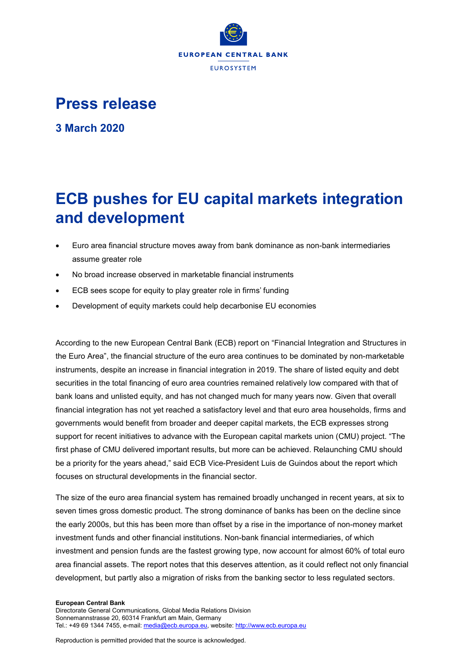

## **Press release**

**3 March 2020**

# **ECB pushes for EU capital markets integration and development**

- Euro area financial structure moves away from bank dominance as non-bank intermediaries assume greater role
- No broad increase observed in marketable financial instruments
- ECB sees scope for equity to play greater role in firms' funding
- Development of equity markets could help decarbonise EU economies

According to the new European Central Bank (ECB) report on "Financial Integration and Structures in the Euro Area", the financial structure of the euro area continues to be dominated by non-marketable instruments, despite an increase in financial integration in 2019. The share of listed equity and debt securities in the total financing of euro area countries remained relatively low compared with that of bank loans and unlisted equity, and has not changed much for many years now. Given that overall financial integration has not yet reached a satisfactory level and that euro area households, firms and governments would benefit from broader and deeper capital markets, the ECB expresses strong support for recent initiatives to advance with the European capital markets union (CMU) project. "The first phase of CMU delivered important results, but more can be achieved. Relaunching CMU should be a priority for the years ahead," said ECB Vice-President Luis de Guindos about the report which focuses on structural developments in the financial sector.

The size of the euro area financial system has remained broadly unchanged in recent years, at six to seven times gross domestic product. The strong dominance of banks has been on the decline since the early 2000s, but this has been more than offset by a rise in the importance of non-money market investment funds and other financial institutions. Non-bank financial intermediaries, of which investment and pension funds are the fastest growing type, now account for almost 60% of total euro area financial assets. The report notes that this deserves attention, as it could reflect not only financial development, but partly also a migration of risks from the banking sector to less regulated sectors.

#### **European Central Bank**

Directorate General Communications, Global Media Relations Division Sonnemannstrasse 20, 60314 Frankfurt am Main, Germany Tel.: +49 69 1344 7455, e-mail[: media@ecb.europa.eu,](mailto:media@ecb.europa.eu) website[: http://www.ecb.europa.eu](http://www.ecb.europa.eu/)

Reproduction is permitted provided that the source is acknowledged.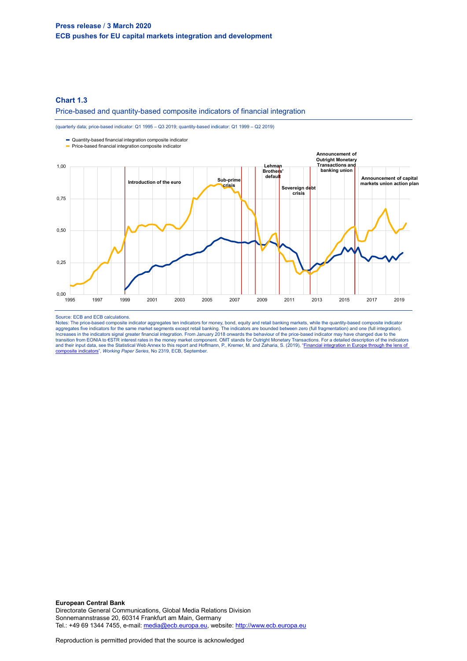## **Press release** / **3 March 2020 ECB pushes for EU capital markets integration and development**

## **Chart 1.3**

#### Price-based and quantity-based composite indicators of financial integration

(quarterly data; price-based indicator: Q1 1995 – Q3 2019; quantity-based indicator: Q1 1999 – Q2 2019)

Quantity-based financial integration composite indicator



#### Source: ECB and ECB calculations.

Notes: The price-based composite indicator aggregates ten indicators for money, bond, equity and retail banking markets, while the quantity-based composite indicator<br>aggregates five indicators for the same market segments Increases in the indicators signal greater financial integration. From January 2018 onwards the behaviour of the price-based indicator may have changed due to the<br>transition from EONIA to €STR interest rates in the money and their input data, see the Statistical Web Annex to this report and Hoffmann, P., Kremer, M. and Zaharia, S. (2019), "Financial integration in Europe through the lens of site indicators", Working Paper Series, No 2319, ECB, September.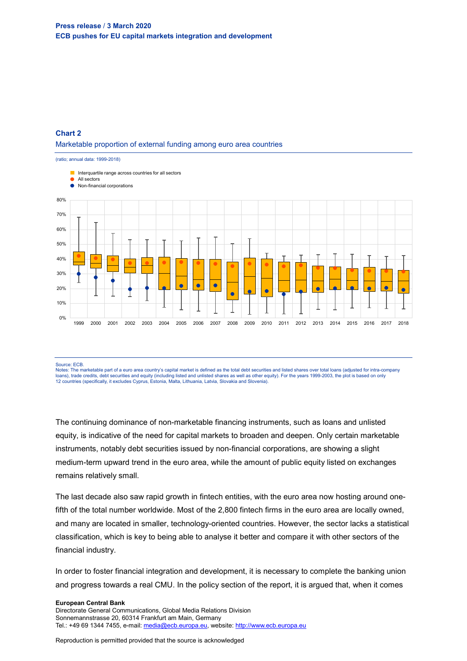## **Chart 2** Marketable proportion of external funding among euro area countries



Source: ECB.

Notes: The marketable part of a euro area country's capital market is defined as the total debt securities and listed shares over total loans (adjusted for intra-company loans), trade credits, debt securities and equity (including listed and unlisted shares as well as other equity). For the years 1999-2003, the plot is based on only<br>12 countries (specifically, it excludes Cyprus, Estonia,

The continuing dominance of non-marketable financing instruments, such as loans and unlisted equity, is indicative of the need for capital markets to broaden and deepen. Only certain marketable instruments, notably debt securities issued by non-financial corporations, are showing a slight medium-term upward trend in the euro area, while the amount of public equity listed on exchanges remains relatively small.

The last decade also saw rapid growth in fintech entities, with the euro area now hosting around onefifth of the total number worldwide. Most of the 2,800 fintech firms in the euro area are locally owned, and many are located in smaller, technology-oriented countries. However, the sector lacks a statistical classification, which is key to being able to analyse it better and compare it with other sectors of the financial industry.

In order to foster financial integration and development, it is necessary to complete the banking union and progress towards a real CMU. In the policy section of the report, it is argued that, when it comes

#### **European Central Bank**